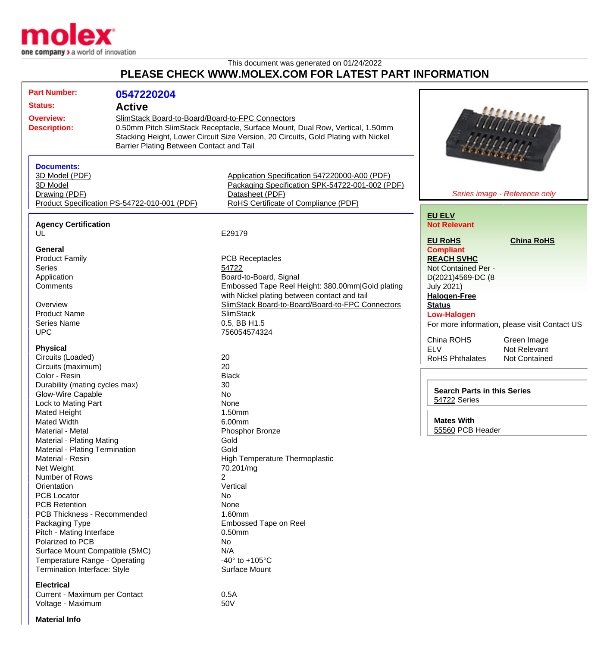

## This document was generated on 01/24/2022 **PLEASE CHECK WWW.MOLEX.COM FOR LATEST PART INFORMATION**

| <b>Part Number:</b>                                                  | 0547220204                                   |                                                                                    |                                               |                      |
|----------------------------------------------------------------------|----------------------------------------------|------------------------------------------------------------------------------------|-----------------------------------------------|----------------------|
| <b>Status:</b><br><b>Active</b>                                      |                                              |                                                                                    |                                               |                      |
| SlimStack Board-to-Board/Board-to-FPC Connectors<br><b>Overview:</b> |                                              |                                                                                    |                                               |                      |
|                                                                      |                                              |                                                                                    |                                               |                      |
| <b>Description:</b>                                                  |                                              | 0.50mm Pitch SlimStack Receptacle, Surface Mount, Dual Row, Vertical, 1.50mm       |                                               |                      |
|                                                                      |                                              | Stacking Height, Lower Circuit Size Version, 20 Circuits, Gold Plating with Nickel |                                               |                      |
|                                                                      | Barrier Plating Between Contact and Tail     |                                                                                    |                                               |                      |
|                                                                      |                                              |                                                                                    |                                               |                      |
| <b>Documents:</b>                                                    |                                              |                                                                                    |                                               |                      |
| 3D Model (PDF)                                                       |                                              | Application Specification 547220000-A00 (PDF)                                      |                                               |                      |
| 3D Model                                                             |                                              | Packaging Specification SPK-54722-001-002 (PDF)                                    |                                               |                      |
| Drawing (PDF)                                                        |                                              | Datasheet (PDF)                                                                    | Series image - Reference only                 |                      |
|                                                                      | Product Specification PS-54722-010-001 (PDF) | RoHS Certificate of Compliance (PDF)                                               |                                               |                      |
|                                                                      |                                              |                                                                                    | <b>EU ELV</b>                                 |                      |
| <b>Agency Certification</b>                                          |                                              |                                                                                    | <b>Not Relevant</b>                           |                      |
| UL                                                                   |                                              | E29179                                                                             |                                               |                      |
|                                                                      |                                              |                                                                                    | <b>EU RoHS</b>                                | <b>China RoHS</b>    |
| General                                                              |                                              |                                                                                    | <b>Compliant</b>                              |                      |
| <b>Product Family</b>                                                |                                              | <b>PCB Receptacles</b>                                                             | <b>REACH SVHC</b>                             |                      |
| <b>Series</b>                                                        |                                              | 54722                                                                              | Not Contained Per -<br>D(2021)4569-DC (8      |                      |
| Application                                                          |                                              | Board-to-Board, Signal                                                             |                                               |                      |
| Comments                                                             |                                              | Embossed Tape Reel Height: 380.00mm Gold plating                                   | <b>July 2021)</b>                             |                      |
|                                                                      |                                              | with Nickel plating between contact and tail                                       | <b>Halogen-Free</b>                           |                      |
| Overview                                                             |                                              | SlimStack Board-to-Board/Board-to-FPC Connectors                                   | <b>Status</b>                                 |                      |
| <b>Product Name</b>                                                  |                                              | <b>SlimStack</b>                                                                   | <b>Low-Halogen</b>                            |                      |
| <b>Series Name</b>                                                   |                                              | 0.5, BB H1.5                                                                       | For more information, please visit Contact US |                      |
| <b>UPC</b>                                                           |                                              | 756054574324                                                                       |                                               |                      |
|                                                                      |                                              |                                                                                    | China ROHS                                    | Green Image          |
| <b>Physical</b>                                                      |                                              |                                                                                    | <b>ELV</b>                                    | Not Relevant         |
| Circuits (Loaded)                                                    |                                              | 20                                                                                 | <b>RoHS Phthalates</b>                        | <b>Not Contained</b> |
| Circuits (maximum)                                                   |                                              | 20                                                                                 |                                               |                      |
| Color - Resin                                                        |                                              | <b>Black</b>                                                                       |                                               |                      |
| Durability (mating cycles max)                                       |                                              | 30                                                                                 | <b>Search Parts in this Series</b>            |                      |
| <b>Glow-Wire Capable</b>                                             |                                              | No                                                                                 |                                               |                      |
| Lock to Mating Part                                                  |                                              | None                                                                               | 54722 Series                                  |                      |
| Mated Height                                                         |                                              | 1.50mm                                                                             |                                               |                      |
| <b>Mated Width</b>                                                   |                                              | <b>Mates With</b><br>6.00mm                                                        |                                               |                      |
| Material - Metal                                                     |                                              | Phosphor Bronze                                                                    | <b>55560 PCB Header</b>                       |                      |
| Material - Plating Mating                                            |                                              | Gold                                                                               |                                               |                      |
| Material - Plating Termination                                       |                                              | Gold                                                                               |                                               |                      |
| Material - Resin                                                     |                                              | <b>High Temperature Thermoplastic</b>                                              |                                               |                      |
| Net Weight                                                           |                                              | 70.201/mg                                                                          |                                               |                      |
| Number of Rows                                                       |                                              | 2                                                                                  |                                               |                      |
| Orientation                                                          |                                              | Vertical                                                                           |                                               |                      |
| <b>PCB Locator</b>                                                   |                                              | No                                                                                 |                                               |                      |
| <b>PCB Retention</b>                                                 |                                              | None                                                                               |                                               |                      |
| <b>PCB Thickness - Recommended</b>                                   |                                              | 1.60mm                                                                             |                                               |                      |
| Packaging Type                                                       |                                              | <b>Embossed Tape on Reel</b>                                                       |                                               |                      |
| Pitch - Mating Interface                                             |                                              | 0.50mm                                                                             |                                               |                      |
| Polarized to PCB                                                     |                                              | No                                                                                 |                                               |                      |
| Surface Mount Compatible (SMC)                                       |                                              | N/A                                                                                |                                               |                      |
| Temperature Range - Operating                                        |                                              | -40 $\degree$ to +105 $\degree$ C                                                  |                                               |                      |
| Termination Interface: Style                                         |                                              | <b>Surface Mount</b>                                                               |                                               |                      |
|                                                                      |                                              |                                                                                    |                                               |                      |
| <b>Electrical</b>                                                    |                                              |                                                                                    |                                               |                      |

Current - Maximum per Contact<br>Voltage - Maximum contact 600 m Voltage - Maximum

**Material Info**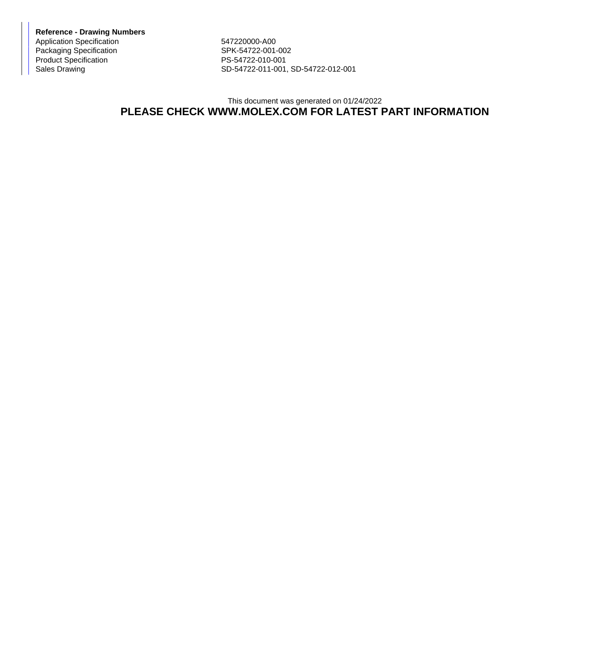**Reference - Drawing Numbers** Application Specification<br>
Packaging Specification<br>
SPK-54722-001-002 Packaging Specification Product Specification PS-54722-010-001

Sales Drawing Sales Drawing SD-54722-011-001, SD-54722-012-001

## This document was generated on 01/24/2022 **PLEASE CHECK WWW.MOLEX.COM FOR LATEST PART INFORMATION**